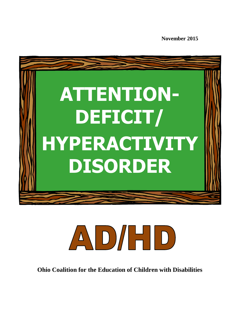**November 2015**





**Ohio Coalition for the Education of Children with Disabilities**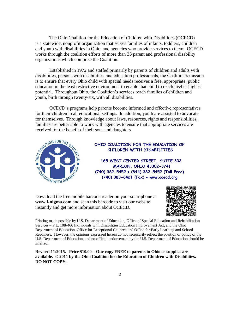The Ohio Coalition for the Education of Children with Disabilities (OCECD) is a statewide, nonprofit organization that serves families of infants, toddlers, children and youth with disabilities in Ohio, and agencies who provide services to them. OCECD works through the coalition efforts of more than 35 parent and professional disability organizations which comprise the Coalition.

Established in 1972 and staffed primarily by parents of children and adults with disabilities, persons with disabilities, and education professionals, the Coalition's mission is to ensure that every Ohio child with special needs receives a free, appropriate, public education in the least restrictive environment to enable that child to reach his/her highest potential. Throughout Ohio, the Coalition's services reach families of children and youth, birth through twenty-six, with all disabilities.

OCECD's programs help parents become informed and effective representatives for their children in all educational settings. In addition, youth are assisted to advocate for themselves. Through knowledge about laws, resources, rights and responsibilities, families are better able to work with agencies to ensure that appropriate services are received for the benefit of their sons and daughters.



### **OHIO COALITION FOR THE EDUCATION OF CHILDREN WITH DISABILITIES**

 **165 WEST CENTER STREET, SUITE 302 MARION, OHIO 43302-3741 (740) 382-5452 (844) 382-5452 (Toll Free) (740) 383-6421 (Fax) www.ocecd.org**

Download the free mobile barcode reader on your smartphone at **www.i-nigma.com** and scan this barcode to visit our website instantly and get more information about OCECD.



Printing made possible by U.S. Department of Education, Office of Special Education and Rehabilitation Services – P.L. 108-466 Individuals with Disabilities Education Improvement Act, and the Ohio Department of Education, Office for Exceptional Children and Office for Early Learning and School Readiness. However, the opinions expressed herein do not necessarily reflect the position or policy of the U.S. Department of Education, and no official endorsement by the U.S. Department of Education should be inferred.

**Revised 11/2015. Price \$10.00 – One copy FREE to parents in Ohio as supplies are available. © 2011 by the Ohio Coalition for the Education of Children with Disabilities. DO NOT COPY.**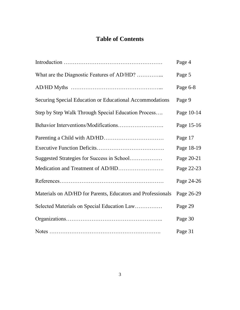# **Table of Contents**

|                                                             | Page 4     |
|-------------------------------------------------------------|------------|
| What are the Diagnostic Features of AD/HD?                  | Page 5     |
|                                                             | Page 6-8   |
| Securing Special Education or Educational Accommodations    | Page 9     |
| Step by Step Walk Through Special Education Process         | Page 10-14 |
|                                                             | Page 15-16 |
|                                                             | Page 17    |
|                                                             | Page 18-19 |
| Suggested Strategies for Success in School                  | Page 20-21 |
|                                                             | Page 22-23 |
|                                                             | Page 24-26 |
| Materials on AD/HD for Parents, Educators and Professionals | Page 26-29 |
| Selected Materials on Special Education Law                 | Page 29    |
|                                                             | Page 30    |
|                                                             | Page 31    |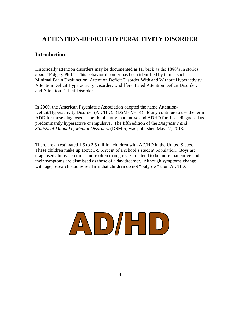# **ATTENTION-DEFICIT/HYPERACTIVITY DISORDER**

### **Introduction:**

Historically attention disorders may be documented as far back as the 1880's in stories about "Fidgety Phil." This behavior disorder has been identified by terms, such as, Minimal Brain Dysfunction, Attention Deficit Disorder With and Without Hyperactivity, Attention Deficit Hyperactivity Disorder, Undifferentiated Attention Deficit Disorder, and Attention Deficit Disorder.

In 2000, the American Psychiatric Association adopted the name Attention-Deficit/Hyperactivity Disorder (AD/HD). (DSM-IV-TR) Many continue to use the term ADD for those diagnosed as predominantly inattentive and ADHD for those diagnosed as predominantly hyperactive or impulsive. The fifth edition of the *Diagnostic and Statistical Manual of Mental Disorders* (DSM-5) was published May 27, 2013.

There are an estimated 1.5 to 2.5 million children with AD/HD in the United States. These children make up about 3-5 percent of a school's student population. Boys are diagnosed almost ten times more often than girls. Girls tend to be more inattentive and their symptoms are dismissed as those of a day dreamer. Although symptoms change with age, research studies reaffirm that children do not "outgrow" their AD/HD.

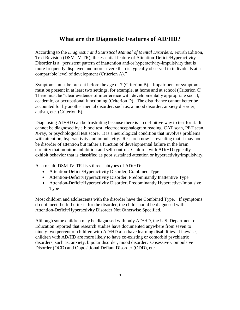# **What are the Diagnostic Features of AD/HD?**

According to the *Diagnostic and Statistical Manual of Mental Disorders*, Fourth Edition, Text Revision (DSM-IV-TR), the essential feature of Attention-Deficit/Hyperactivity Disorder is a "persistent pattern of inattention and/or hyperactivity-impulsivity that is more frequently displayed and more severe than is typically observed in individuals at a comparable level of development (Criterion A)."

Symptoms must be present before the age of 7 (Criterion B). Impairment or symptoms must be present in at least two settings, for example, at home and at school (Criterion C). There must be "clear evidence of interference with developmentally appropriate social, academic, or occupational functioning (Criterion D). The disturbance cannot better be accounted for by another mental disorder, such as, a mood disorder, anxiety disorder, autism, etc. (Criterion E).

Diagnosing AD/HD can be frustrating because there is no definitive way to test for it. It cannot be diagnosed by a blood test, electroencephalogram reading, CAT scan, PET scan, X-ray, or psychological test score. It is a neurological condition that involves problems with attention, hyperactivity and impulsivity. Research now is revealing that it may not be disorder of attention but rather a function of developmental failure in the brain circuitry that monitors inhibition and self-control. Children with AD/HD typically exhibit behavior that is classified as poor sustained attention or hyperactivity/impulsivity.

As a result, DSM-IV-TR lists three subtypes of AD/HD:

- Attention-Deficit/Hyperactivity Disorder, Combined Type
- Attention-Deficit/Hyperactivity Disorder, Predominantly Inattentive Type
- Attention-Deficit/Hyperactivity Disorder, Predominantly Hyperactive-Impulsive Type

Most children and adolescents with the disorder have the Combined Type. If symptoms do not meet the full criteria for the disorder, the child should be diagnosed with Attention-Deficit/Hyperactivity Disorder Not Otherwise Specified.

Although some children may be diagnosed with only AD/HD, the U.S. Department of Education reported that research studies have documented anywhere from seven to ninety-two percent of children with AD/HD also have learning disabilities. Likewise, children with AD/HD are more likely to have co-existing or comorbid psychiatric disorders, such as, anxiety, bipolar disorder, mood disorder. Obsessive Compulsive Disorder (OCD) and Oppositional Defiant Disorder (ODD), etc.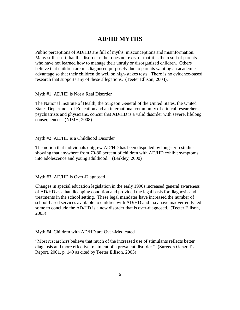# **AD/HD MYTHS**

Public perceptions of AD/HD are full of myths, misconceptions and misinformation. Many still assert that the disorder either does not exist or that it is the result of parents who have not learned how to manage their unruly or disorganized children. Others believe that children are misdiagnosed purposely due to parents wanting an academic advantage so that their children do well on high-stakes tests. There is no evidence-based research that supports any of these allegations. (Teeter Ellison, 2003).

Myth #1 AD/HD is Not a Real Disorder

The National Institute of Health, the Surgeon General of the United States, the United States Department of Education and an international community of clinical researchers, psychiatrists and physicians, concur that AD/HD is a valid disorder with severe, lifelong consequences. (NIMH, 2008)

### Myth #2 AD/HD is a Childhood Disorder

The notion that individuals outgrew AD/HD has been dispelled by long-term studies showing that anywhere from 70-80 percent of children with AD/HD exhibit symptoms into adolescence and young adulthood. (Barkley, 2000)

Myth #3 AD/HD is Over-Diagnosed

Changes in special education legislation in the early 1990s increased general awareness of AD/HD as a handicapping condition and provided the legal basis for diagnosis and treatments in the school setting. These legal mandates have increased the number of school-based services available to children with AD/HD and may have inadvertently led some to conclude the AD/HD is a new disorder that is over-diagnosed. (Teeter Ellison, 2003)

Myth #4 Children with AD/HD are Over-Medicated

"Most researchers believe that much of the increased use of stimulants reflects better diagnosis and more effective treatment of a prevalent disorder." (Surgeon General's Report, 2001, p. 149 as cited by Teeter Ellison, 2003)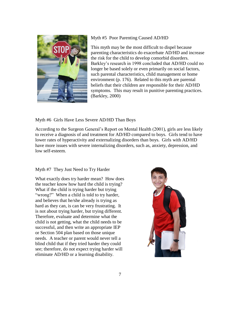

### Myth #5 Poor Parenting Caused AD/HD

This myth may be the most difficult to dispel because parenting characteristics do exacerbate AD/HD and increase the risk for the child to develop comorbid disorders. Barkley's research in 1998 concluded that AD/HD could no longer be based solely or even primarily on social factors, such parental characteristics, child management or home environment (p. 176). Related to this myth are parental beliefs that their children are responsible for their AD/HD symptoms. This may result in punitive parenting practices. (Barkley, 2000)

Myth #6 Girls Have Less Severe AD/HD Than Boys

According to the Surgeon General's Report on Mental Health (2001), girls are less likely to receive a diagnosis of and treatment for AD/HD compared to boys. Girls tend to have lower rates of hyperactivity and externalizing disorders than boys. Girls with AD/HD have more issues with severe internalizing disorders, such as, anxiety, depression, and low self-esteem.

### Myth #7 They Just Need to Try Harder

What exactly does try harder mean? How does the teacher know how hard the child is trying? What if the child is trying harder but trying "wrong?" When a child is told to try harder, and believes that he/she already is trying as hard as they can, is can be very frustrating. It is not about trying harder, but trying different. Therefore, evaluate and determine what the child is not getting, what the child needs to be successful, and then write an appropriate IEP or Section 504 plan based on those unique needs. A teacher or parent would never tell a blind child that if they tried harder they could see; therefore, do not expect trying harder will eliminate AD/HD or a learning disability.

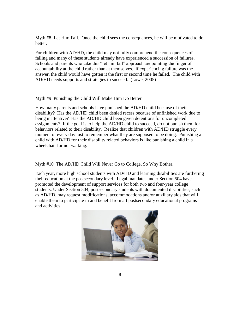Myth #8 Let Him Fail. Once the child sees the consequences, he will be motivated to do better.

For children with AD/HD, the child may not fully comprehend the consequences of failing and many of these students already have experienced a succession of failures. Schools and parents who take this "let him fail" approach are pointing the finger of accountability at the child rather than at themselves. If experiencing failure was the answer, the child would have gotten it the first or second time he failed. The child with AD/HD needs supports and strategies to succeed. (Lowe, 2005)

### Myth #9 Punishing the Child Will Make Him Do Better

How many parents and schools have punished the AD/HD child because of their disability? Has the AD/HD child been denied recess because of unfinished work due to being inattentive? Has the AD/HD child been given detentions for uncompleted assignments? If the goal is to help the AD/HD child to succeed, do not punish them for behaviors related to their disability. Realize that children with AD/HD struggle every moment of every day just to remember what they are supposed to be doing. Punishing a child with AD/HD for their disability related behaviors is like punishing a child in a wheelchair for not walking.

Myth #10 The AD/HD Child Will Never Go to College, So Why Bother.

Each year, more high school students with AD/HD and learning disabilities are furthering their education at the postsecondary level. Legal mandates under Section 504 have promoted the development of support services for both two and four-year college students. Under Section 504, postsecondary students with documented disabilities, such as AD/HD, may request modifications, accommodations and/or auxiliary aids that will enable them to participate in and benefit from all postsecondary educational programs and activities.

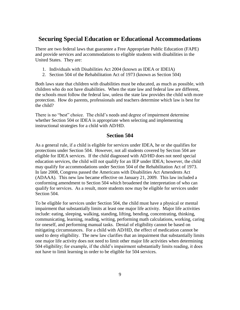## **Securing Special Education or Educational Accommodations**

There are two federal laws that guarantee a Free Appropriate Public Education (FAPE) and provide services and accommodations to eligible students with disabilities in the United States. They are:

- 1. Individuals with Disabilities Act 2004 (known as IDEA or IDEIA)
- 2. Section 504 of the Rehabilitation Act of 1973 (known as Section 504)

Both laws state that children with disabilities must be educated, as much as possible, with children who do not have disabilities. When the state law and federal law are different, the schools must follow the federal law, unless the state law provides the child with more protection. How do parents, professionals and teachers determine which law is best for the child?

There is no "best" choice. The child's needs and degree of impairment determine whether Section 504 or IDEA is appropriate when selecting and implementing instructional strategies for a child with AD/HD.

### **Section 504**

As a general rule, if a child is eligible for services under IDEA, he or she qualifies for protections under Section 504. However, not all students covered by Section 504 are eligible for IDEA services. If the child diagnosed with AD/HD does not need special education services, the child will not qualify for an IEP under IDEA; however, the child may qualify for accommodations under Section 504 of the Rehabilitation Act of 1973. In late 2008, Congress passed the Americans with Disabilities Act Amendents Act (ADAAA). This new law became effective on January 21, 2009. This law included a conforming amendment to Section 504 which broadened the interpretation of who can qualify for services. As a result, more students now may be eligible for services under Section 504.

To be eligible for services under Section 504, the child must have a physical or mental impairment that substantially limits at least one major life activity. Major life activities include: eating, sleeping, walking, standing, lifting, bending, concentrating, thinking, communicating, learning, reading, writing, performing math calculations, working, caring for oneself, and performing manual tasks. Denial of eligibility cannot be based on mitigating circumstances. For a child with AD/HD, the effect of medication cannot be used to deny eligibility. The new law clarifies that an impairment that substantially limits one major life activity does not need to limit other major life activities when determining 504 eligibility; for example, if the child's impairment substantially limits reading, it does not have to limit learning in order to be eligible for 504 services.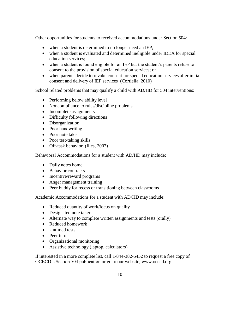Other opportunities for students to received accommodations under Section 504:

- when a student is determined to no longer need an IEP;
- when a student is evaluated and determined ineligible under IDEA for special education services;
- when a student is found eligible for an IEP but the student's parents refuse to consent to the provision of special education services; or
- when parents decide to revoke consent for special education services after initial consent and delivery of IEP services (Cortiella, 2010)

School related problems that may qualify a child with AD/HD for 504 interventions:

- Performing below ability level
- Noncompliance to rules/discipline problems
- Incomplete assignments
- Difficulty following directions
- Disorganization
- Poor handwriting
- Poor note taker
- Poor test-taking skills
- Off-task behavior (Illes, 2007)

Behavioral Accommodations for a student with AD/HD may include:

- Daily notes home
- Behavior contracts
- Incentive/reward programs
- Anger management training
- Peer buddy for recess or transitioning between classrooms

Academic Accommodations for a student with AD/HD may include:

- Reduced quantity of work/focus on quality
- Designated note taker
- Alternate way to complete written assignments and tests (orally)
- Reduced homework
- Untimed tests
- Peer tutor
- Organizational monitoring
- Assistive technology (laptop, calculators)

If interested in a more complete list, call 1-844-382-5452 to request a free copy of OCECD's Section 504 publication or go to our website, www.ocecd.org.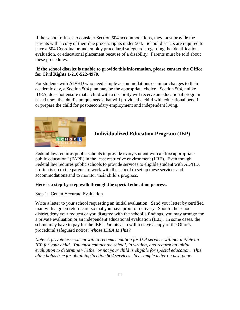If the school refuses to consider Section 504 accommodations, they must provide the parents with a copy of their due process rights under 504. School districts are required to have a 504 Coordinator and employ procedural safeguards regarding the identification, evaluation, or educational placement because of a disability. Parents must be told about these procedures.

### **If the school district is unable to provide this information, please contact the Office for Civil Rights 1-216-522-4970**.

For students with AD/HD who need simple accommodations or minor changes to their academic day, a Section 504 plan may be the appropriate choice. Section 504, unlike IDEA, does not ensure that a child with a disability will receive an educational program based upon the child's unique needs that will provide the child with educational benefit or prepare the child for post-secondary employment and independent living.



### **Individualized Education Program (IEP)**

Federal law requires public schools to provide every student with a "free appropriate public education" (FAPE) in the least restrictive environment (LRE). Even though Federal law requires public schools to provide services to eligible student with AD/HD, it often is up to the parents to work with the school to set up these services and accommodations and to monitor their child's progress.

### **Here is a step-by-step walk through the special education process.**

### Step 1: Get an Accurate Evaluation

Write a letter to your school requesting an initial evaluation. Send your letter by certified mail with a green return card so that you have proof of delivery. Should the school district deny your request or you disagree with the school's findings, you may arrange for a private evaluation or an independent educational evaluation (IEE). In some cases, the school may have to pay for the IEE. Parents also will receive a copy of the Ohio's procedural safeguard notice: *Whose IDEA Is This?*

*Note: A private assessment with a recommendation for IEP services will not initiate an IEP for your child. You must contact the school, in writing, and request an initial evaluation to determine whether or not your child is eligible for special education. This often holds true for obtaining Section 504 services. See sample letter on next page.*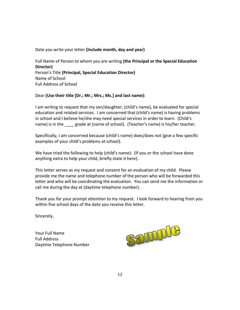Date you write your letter **(Include month, day and year)**

Full Name of Person to whom you are writing **(the Principal or the Special Education Director)** Person's Title **(Principal, Special Education Director)** Name of School Full Address of School

### Dear **(Use their title [Dr.; Mr.; Mrs.; Ms.] and last name):**

I am writing to request that my son/daughter, (child's name), be evaluated for special education and related services. I am concerned that (child's name) is having problems in school and I believe he/she may need special services in order to learn. (Child's name) is in the \_\_\_\_ grade at (name of school). (Teacher's name) is his/her teacher.

Specifically, I am concerned because (child's name) does/does not (give a few specific examples of your child's problems at school).

We have tried the following to help (child's name): (If you or the school have done anything extra to help your child, briefly state it here).

This letter serves as my request and consent for an evaluation of my child. Please provide me the name and telephone number of the person who will be forwarded this letter and who will be coordinating the evaluation. You can send me the information or call me during the day at (daytime telephone number).

Thank you for your prompt attention to my request. I look forward to hearing from you within five school days of the date you receive this letter.

Sincerely,

Your Full Name Full Address Daytime Telephone Number

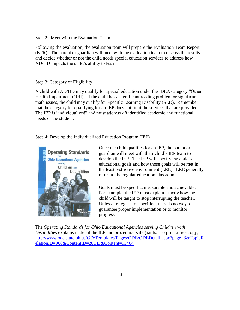Step 2: Meet with the Evaluation Team

Following the evaluation, the evaluation team will prepare the Evaluation Team Report (ETR). The parent or guardian will meet with the evaluation team to discuss the results and decide whether or not the child needs special education services to address how AD/HD impacts the child's ability to learn.

#### Step 3: Category of Eligibility

A child with AD/HD may qualify for special education under the IDEA category "Other Health Impairment (OHI). If the child has a significant reading problem or significant math issues, the child may qualify for Specific Learning Disability (SLD). Remember that the category for qualifying for an IEP does not limit the services that are provided. The IEP is "individualized" and must address *all* identified academic and functional needs of the student.

Step 4: Develop the Individualized Education Program (IEP)



Once the child qualifies for an IEP, the parent or guardian will meet with their child's IEP team to develop the IEP. The IEP will specify the child's educational goals and how those goals will be met in the least restrictive environment (LRE). LRE generally refers to the regular education classroom.

Goals must be specific, measurable and achievable. For example, the IEP must explain exactly how the child will be taught to stop interrupting the teacher. Unless strategies are specified, there is no way to guarantee proper implementation or to monitor progress.

The *Operating Standards for Ohio Educational Agencies serving Children with Disabilities* explains in detail the IEP and procedural safeguards. To print a free copy; [http://www.ode.state.oh.us/GD/Templates/Pages/ODE/ODEDetail.aspx?page=3&TopicR](http://www.ode.state.oh.us/GD/Templates/Pages/ODE/ODEDetail.aspx?page=3&TopicRelationID=968&ContentID=28143&Content=93404) [elationID=968&ContentID=28143&Content=93404](http://www.ode.state.oh.us/GD/Templates/Pages/ODE/ODEDetail.aspx?page=3&TopicRelationID=968&ContentID=28143&Content=93404)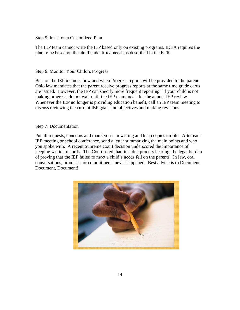Step 5: Insist on a Customized Plan

The IEP team cannot write the IEP based only on existing programs. IDEA requires the plan to be based on the child's identified needs as described in the ETR.

Step 6: Monitor Your Child's Progress

Be sure the IEP includes how and when Progress reports will be provided to the parent. Ohio law mandates that the parent receive progress reports at the same time grade cards are issued. However, the IEP can specify more frequent reporting. If your child is not making progress, do not wait until the IEP team meets for the annual IEP review. Whenever the IEP no longer is providing education benefit, call an IEP team meeting to discuss reviewing the current IEP goals and objectives and making revisions.

Step 7: Documentation

Put all requests, concerns and thank you's in writing and keep copies on file. After each IEP meeting or school conference, send a letter summarizing the main points and who you spoke with. A recent Supreme Court decision underscored the importance of keeping written records. The Court ruled that, in a due process hearing, the legal burden of proving that the IEP failed to meet a child's needs fell on the parents. In law, oral conversations, promises, or commitments never happened. Best advice is to Document, Document, Document!

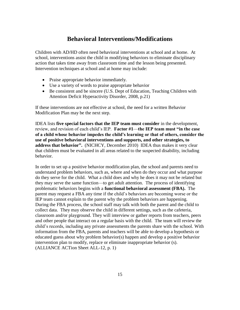# **Behavioral Interventions/Modifications**

Children with AD/HD often need behavioral interventions at school and at home. At school, interventions assist the child in modifying behaviors to eliminate disciplinary action that takes time away from classroom time and the lesson being presented. Intervention techniques at school and at home may include:

- Praise appropriate behavior immediately.
- Use a variety of words to praise appropriate behavior
- Be consistent and be sincere (U.S. Dept of Education, Teaching Children with Attention Deficit Hyperactivity Disorder, 2008, p.21)

If these interventions are not effective at school, the need for a written Behavior Modification Plan may be the next step.

IDEA lists **five special factors that the IEP team must consider** in the development, review, and revision of each child's IEP. **Factor #1**—**the IEP team must "in the case of a child whose behavior impedes the child's learning or that of others, consider the use of positive behavioral interventions and supports, and other strategies, to address that behavior".** (NICHCY, December 2010) IDEA thus makes it very clear that children must be evaluated in all areas related to the suspected disability, including behavior.

In order to set up a positive behavior modification plan, the school and parents need to understand problem behaviors, such as, where and when do they occur and what purpose do they serve for the child. What a child does and why he does it may not be related but they may serve the same function—to get adult attention. The process of identifying problematic behaviors begins with a **functional behavioral assessment (FBA).** The parent may request a FBA any time if the child's behaviors are becoming worse or the IEP team cannot explain to the parent why the problem behaviors are happening. During the FBA process, the school staff may talk with both the parent and the child to collect data. They may observe the child in different settings, such as the cafeteria, classroom and/or playground. They will interview or gather reports from teachers, peers and other people that interact on a regular basis with the child. The team will review the child's records, including any private assessments the parents share with the school. With information from the FBA, parents and teachers will be able to develop a hypothesis or educated guess about why problem behavior(s) happen and develop a positive behavior intervention plan to modify, replace or eliminate inappropriate behavior (s). (ALLIANCE ACTion Sheet ALL-12, p. 1)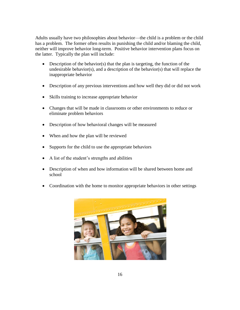Adults usually have two philosophies about behavior—the child is a problem or the child has a problem. The former often results in punishing the child and/or blaming the child, neither will improve behavior long-term. Positive behavior intervention plans focus on the latter. Typically the plan will include:

- Description of the behavior(s) that the plan is targeting, the function of the undesirable behavior(s), and a description of the behavior(s) that will replace the inappropriate behavior
- Description of any previous interventions and how well they did or did not work
- Skills training to increase appropriate behavior
- Changes that will be made in classrooms or other environments to reduce or eliminate problem behaviors
- Description of how behavioral changes will be measured
- When and how the plan will be reviewed
- Supports for the child to use the appropriate behaviors
- A list of the student's strengths and abilities
- Description of when and how information will be shared between home and school
- Coordination with the home to monitor appropriate behaviors in other settings

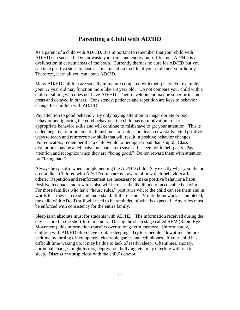# **Parenting a Child with AD/HD**

As a parent of a child with AD/HD, it is important to remember that your child with AD/HD can succeed. Do not waste your time and energy on self-blame. AD/HD is a dysfunction in certain areas of the brain. Currently there is no cure for AD/HD but you can take positive steps to decrease its impact on the life of your child and your family's. Therefore, learn all you can about AD/HD.

Many AD/HD children are socially immature compared with their peers. For example, your 12 year old may function more like a 9 year old. Do not compare your child with a child or sibling who does not have AD/HD. Their development may be superior in some areas and delayed in others. Consistency, patience and repetition are keys to behavior change for children with AD/HD.

Pay attention to good behavior. By only paying attention to inappropriate or poor behavior and ignoring the good behaviors, the child has no motivation to learn appropriate behavior skills and will continue to misbehave to get your attention. This is called negative reinforcement. Punishment also does not teach new skills. Find positive ways to teach and reinforce new skills that will result in positive behavior changes. For educators, remember that a child would rather appear bad than stupid. Class disruptions may be a defensive mechanism to save self esteem with their peers. Pay attention and recognize when they are "being good." Do not reward them with attention for "being bad."

Always be specific when complementing the AD/HD child. Say exactly what you like or do not like. Children with AD/HD often are not aware of how their behaviors affect others. Repetition and reinforcement are necessary to make positive behavior a habit. Positive feedback and rewards also will increase the likelihood of acceptable behavior. For those families who have "house rules," post rules where the child can see them and in words that they can read and understand. If there is no TV until homework is completed, the child with AD/HD still will need to be reminded of what is expected. Any rules must be enforced with consistency for the entire family.

Sleep is an absolute must for students with AD/HD. The information received during the day is stored in the short-term memory. During the sleep stage called REM (Rapid Eye Movement), this information transfers over to long-term memory. Unfortunately, children with AD/HD often have trouble sleeping. Try to schedule "downtime" before bedtime by turning off computers, electronic games and cell phones. If your child has a difficult time waking up, it may be due to lack of restful sleep. Oftentimes, anxiety, hormonal changes, night terrors, depression, bullying, etc. may interfere with restful sleep. Discuss any suspicions with the child's doctor.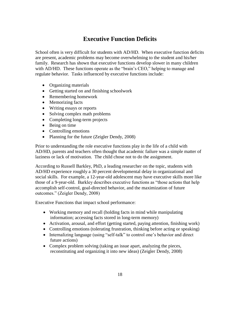# **Executive Function Deficits**

School often is very difficult for students with AD/HD. When executive function deficits are present, academic problems may become overwhelming to the student and his/her family. Research has shown that executive functions develop slower in many children with AD/HD. These functions operate as the "brain's CEO," helping to manage and regulate behavior. Tasks influenced by executive functions include:

- Organizing materials
- Getting started on and finishing schoolwork
- Remembering homework
- Memorizing facts
- Writing essays or reports
- Solving complex math problems
- Completing long-term projects
- Being on time
- Controlling emotions
- Planning for the future (Zeigler Dendy, 2008)

Prior to understanding the role executive functions play in the life of a child with AD/HD, parents and teachers often thought that academic failure was a simple matter of laziness or lack of motivation. The child chose not to do the assignment.

According to Russell Barkley, PhD, a leading researcher on the topic, students with AD/HD experience roughly a 30 percent developmental delay in organizational and social skills. For example, a 12-year-old adolescent may have executive skills more like those of a 9-year-old. Barkley describes executive functions as "those actions that help accomplish self-control, goal-directed behavior, and the maximization of future outcomes." (Zeigler Dendy, 2008)

Executive Functions that impact school performance:

- Working memory and recall (holding facts in mind while manipulating information; accessing facts stored in long-term memory)
- Activation, arousal, and effort (getting started, paying attention, finishing work)
- Controlling emotions (tolerating frustration, thinking before acting or speaking)
- Internalizing language (using "self-talk" to control one's behavior and direct future actions)
- Complex problem solving (taking an issue apart, analyzing the pieces, reconstituting and organizing it into new ideas) (Zeigler Dendy, 2008)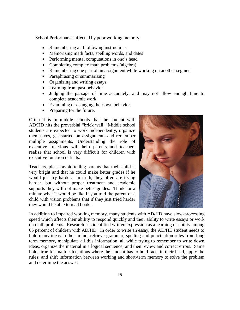School Performance affected by poor working memory:

- Remembering and following instructions
- Memorizing math facts, spelling words, and dates
- Performing mental computations in one's head
- Completing complex math problems (algebra)
- Remembering one part of an assignment while working on another segment
- Paraphrasing or summarizing
- Organizing and writing essays
- Learning from past behavior
- Judging the passage of time accurately, and may not allow enough time to complete academic work
- Examining or changing their own behavior
- Preparing for the future.

Often it is in middle schools that the student with AD/HD hits the proverbial "brick wall." Middle school students are expected to work independently, organize themselves, get started on assignments and remember multiple assignments. Understanding the role of executive functions will help parents and teachers realize that school is very difficult for children with executive function deficits.

Teachers, please avoid telling parents that their child is very bright and that he could make better grades if he would just try harder. In truth, they often are trying harder, but without proper treatment and academic supports they will not make better grades. Think for a minute what it would be like if you told the parent of a child with vision problems that if they just tried harder they would be able to read books.



In addition to impaired working memory, many students with AD/HD have slow-processing speed which affects their ability to respond quickly and their ability to write essays or work on math problems. Research has identified written expression as a learning disability among 65 percent of children with AD/HD. In order to write an essay, the AD/HD student needs to hold many ideas in their mind, retrieve grammar, spelling and punctuation rules from long term memory, manipulate all this information, all while trying to remember to write down ideas, organize the material in a logical sequence, and then review and correct errors. Same holds true for math calculations where the student has to hold facts in their head, apply the rules; and shift information between working and short-term memory to solve the problem and determine the answer.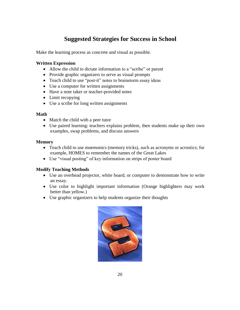# **Suggested Strategies for Success in School**

Make the learning process as concrete and visual as possible.

### **Written Expression**

- Allow the child to dictate information to a "scribe" or parent
- Provide graphic organizers to serve as visual prompts
- Teach child to use "post-it" notes to brainstorm essay ideas
- Use a computer for written assignments
- Have a note taker or teacher-provided notes
- Limit recopying
- Use a scribe for long written assignments

### **Math**

- Match the child with a peer tutor
- Use paired learning: teachers explains problem, then students make up their own examples, swap problems, and discuss answers

### **Memory**

- Teach child to use mnemonics (memory tricks), such as acronyms or acrostics; for example, HOMES to remember the names of the Great Lakes
- Use "visual posting" of key information on strips of poster board

### **Modify Teaching Methods**

- Use an overhead projector, white board, or computer to demonstrate how to write an essay.
- Use color to highlight important information (Orange highlighters may work better than yellow.)
- Use graphic organizers to help students organize their thoughts

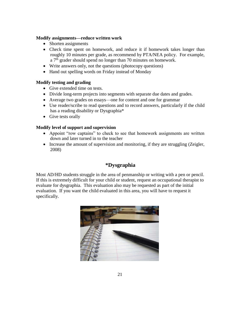### **Modify assignments—reduce written work**

- Shorten assignments
- Check time spent on homework, and reduce it if homework takes longer than roughly 10 minutes per grade, as recommend by PTA/NEA policy. For example, a 7<sup>th</sup> grader should spend no longer than 70 minutes on homework.
- Write answers only, not the questions (photocopy questions)
- Hand out spelling words on Friday instead of Monday

### **Modify testing and grading**

- Give extended time on tests.
- Divide long-term projects into segments with separate due dates and grades.
- Average two grades on essays—one for content and one for grammar
- Use reader/scribe to read questions and to record answers, particularly if the child has a reading disability or Dysgraphia\*
- Give tests orally

### **Modify level of support and supervision**

- Appoint "row captains" to check to see that homework assignments are written down and later turned in to the teacher
- Increase the amount of supervision and monitoring, if they are struggling (Zeigler, 2008)

### **\*Dysgraphia**

Most AD/HD students struggle in the area of penmanship or writing with a pen or pencil. If this is extremely difficult for your child or student, request an occupational therapist to evaluate for dysgraphia. This evaluation also may be requested as part of the initial evaluation. If you want the child evaluated in this area, you will have to request it specifically.

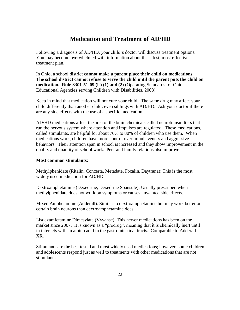# **Medication and Treatment of AD/HD**

Following a diagnosis of AD/HD, your child's doctor will discuss treatment options. You may become overwhelmed with information about the safest, most effective treatment plan.

In Ohio, a school district **cannot make a parent place their child on medications. The school district cannot refuse to serve the child until the parent puts the child on medication. Rule 3301-51-09 (L) (1) and (2)** (Operating Standards for Ohio Educational Agencies serving Children with Disabilities, 2008)

Keep in mind that medication will not cure your child. The same drug may affect your child differently than another child, even siblings with AD/HD. Ask your doctor if there are any side effects with the use of a specific medication.

AD/HD medications affect the area of the brain chemicals called neurotransmitters that run the nervous system where attention and impulses are regulated. These medications, called stimulants, are helpful for about 70% to 80% of children who use them. When medications work, children have more control over impulsiveness and aggressive behaviors. Their attention span in school is increased and they show improvement in the quality and quantity of school work. Peer and family relations also improve.

### **Most common stimulants**:

Methylphenidate (Ritalin, Concerta, Metadate, Focalin, Daytrana): This is the most widely used medication for AD/HD.

Dextroamphetamine (Dexedrine, Dexedrine Spansule): Usually prescribed when methylphenidate does not work on symptoms or causes unwanted side effects.

Mixed Amphetamine (Adderall): Similar to dextroamphetamine but may work better on certain brain neurons than dextroamphetamine does.

Lisdexamfetamine Dimesylate (Vyvanse): This newer medications has been on the market since 2007. It is known as a "prodrug", meaning that it is chemically inert until in interacts with an amino acid in the gastrointestinal tracts. Comparable to Adderall XR.

Stimulants are the best tested and most widely used medications; however, some children and adolescents respond just as well to treatments with other medications that are not stimulants.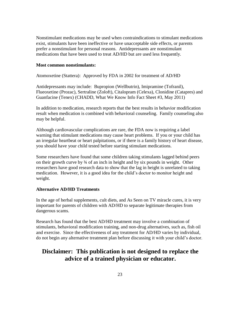Nonstimulant medications may be used when contraindications to stimulant medications exist, stimulants have been ineffective or have unacceptable side effects, or parents prefer a nonstimulant for personal reasons. Antidepressants are nonstimulant medications that have been used to treat AD/HD but are used less frequently.

#### **Most common nonstimulants:**

Atomoxetine (Stattera): Approved by FDA in 2002 for treatment of AD/HD

Antidepressants may include: Bupropion (Wellbutrin), Imipramine (Tofranil), Flueoxetine (Prozac), Sertraline (Zoloft), Citalopram (Celexa), Clonidine (Catapres) and Guanfacine (Tenex) (CHADD, What We Know Info Fact Sheet #3, May 2011)

In addition to medication, research reports that the best results in behavior modification result when medication is combined with behavioral counseling. Family counseling also may be helpful.

Although cardiovascular complications are rare, the FDA now is requiring a label warning that stimulant medications may cause heart problems. If you or your child has an irregular heartbeat or heart palpitations, or if there is a family history of heart disease, you should have your child tested before starting stimulant medications.

Some researchers have found that some children taking stimulants lagged behind peers on their growth curve by ¾ of an inch in height and by six pounds in weight. Other researchers have good research data to show that the lag in height is unrelated to taking medication. However, it is a good idea for the child's doctor to monitor height and weight.

#### **Alternative AD/HD Treatments**

In the age of herbal supplements, cult diets, and As Seen on TV miracle cures, it is very important for parents of children with AD/HD to separate legitimate therapies from dangerous scams.

Research has found that the best AD/HD treatment may involve a combination of stimulants, behavioral modification training, and non-drug alternatives, such as, fish oil and exercise. Since the effectiveness of any treatment for AD/HD varies by individual, do not begin any alternative treatment plan before discussing it with your child's doctor.

# **Disclaimer: This publication is not designed to replace the advice of a trained physician or educator.**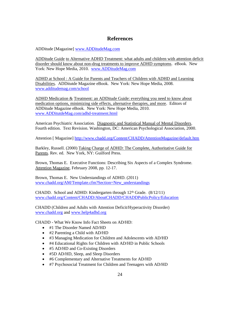### **References**

ADDitude [Magazine] [www.ADDitudeMag.com](http://www.additudemag.com/)

ADDitude Guide to Alternative ADHD Treatment: what adults and children with attention deficit disorder should know about non-drug treatments to improve ADHD symptoms. eBook. New York: New Hope Media, 2010. [www.ADDitudeMag.com](http://www.additudemag.com/)

ADHD at School : A Guide for Parents and Teachers of Children with ADHD and Learning Disabilities. ADDitutde Magazine eBook. New York: New Hope Media, 2008. [www.additudemag.com/school](http://www.additudemag.com/school)

ADHD Medication & Treatment: an ADDitude Guide: everything you need to know about medication options, minimizing side effects, alternative therapies, and more. Editors of ADDitude Magazine eBook. New York: New Hope Media, 2010. [www.ADDitutdeMag.com/adhd-treatment.html](http://www.additutdemag.com/adhd-treatment.html)

American Psychiatric Association. Diagnostic and Statistical Manual of Mental Disorders. Fourth edition. Text Revision. Washington, DC: American Psychological Association, 2000.

Attention [ Magazine]<http://www.chadd.org/Content/CHADD/AttentionMagazine/default.htm>

Barkley, Russell. (2000) Taking Charge of ADHD: The Complete, Authoritative Guide for Parents. Rev. ed. New York, NY: Guilford Press.

Brown, Thomas E. Executive Functions: Describing Six Aspects of a Complex Syndrome. Attention Magazine, February 2008, pp. 12-17.

Brown, Thomas E. New Understandings of ADHD. (2011) [www.chadd.org/AM/Template.cfm?Section=New\\_understandings](http://www.chadd.org/AM/Template.cfm?Section=New_understandings)

CHADD. School and ADHD: Kindergarten through  $12<sup>th</sup>$  Grade. (8/12/11) [www.chadd.org/Content/CHADD/AboutCHADD/CHADDPublicPolicy/Education](http://www.chadd.org/Content/CHADD/AboutCHADD/CHADDPublicPolicy/Education)

CHADD (Children and Adults with Attention Deficit/Hyperactivity Disorder) [www.chadd.org](http://www.chadd.org/) and [www.help4adhd.org](http://www.help4adhd.org/)

CHADD - What We Know Info Fact Sheets on AD/HD:

- #1 The Disorder Named AD/HD
- #2 Parenting a Child with AD/HD
- #3 Managing Medication for Children and Adolescents with AD/HD
- #4 Educational Rights for Children with AD/HD in Public Schools
- #5 AD/HD and Co-Existing Disorders
- #5D AD/HD, Sleep, and Sleep Disorders
- #6 Complementary and Alternative Treatments for AD/HD
- #7 Psychosocial Treatment for Children and Teenagers with AD/HD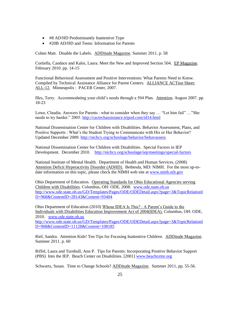- #8 AD/HD Predominantly Inattentive Type
- #20B AD/HD and Teens: Information for Parents

Cohen Matt. Disable the Labels. ADDitude Magazine. Summer 2011. p. 58

Cortiella, Candace and Kaloi, Laura. Meet the New and Improved Section 504. EP Magazine. February 2010. pp. 14-15

Functional Behavioral Assessment and Positive Interventions: What Parents Need to Know. Compiled by Technical Assistance Alliance for Parent Centers. ALLIANCE ACTion Sheet: ALL-12. Minneapolis : PACER Center, 2007.

Illes, Terry. Accommodating your child's needs through a 504 Plan. Attention. August 2007. pp. 18-23

Lowe, Claudia. Answers for Parents : what to consider when they say … "Let him fail" …"She needs to try harder." 2005.<http://cactechassistance.tripod.com/id14.html>

National Dissemination Center for Children with Disabilities. Behavior Assessment, Plans, and Positive Supports : What's the Student Trying to Communicate with His or Her Behavior? Updated December 2009.<http://nichcy.org/schoolage/behavior/behavassess>

National Dissemination Center for Children with Disabilities. Special Factors in IEP Development. December 2010. <http://nichcy.org/schoolage/iep/meetings/special-factors>

National Institute of Mental Health. Department of Health and Human Services. (2008) Attention Deficit Hyperactivity Disorder (ADHD). Bethesda, MD: NIMH. For the most up-todate information on this topic, please check the NIMH web site at [www.nimh.nih.gov](http://www.nimh.nih.gov/)

Ohio Department of Education. Operating Standards for Ohio Educational Agencies serving Children with Disabilities. Columbus, OH: ODE, 2008. [www.ode.state.oh.us](http://www.ode.state.oh.us/)  [http://www.ode.state.oh.us/GD/Templates/Pages/ODE/ODEDetail.aspx?page=3&TopicRelationI](http://www.ode.state.oh.us/GD/Templates/Pages/ODE/ODEDetail.aspx?page=3&TopicRelationID=968&ContentID=28143&Content=93404) [D=968&ContentID=28143&Content=93404](http://www.ode.state.oh.us/GD/Templates/Pages/ODE/ODEDetail.aspx?page=3&TopicRelationID=968&ContentID=28143&Content=93404)

Ohio Department of Education (2010) Whose IDEA Is This? : A Parent's Guide to the Individuals with Disabilities Education Improvement Act of 2004(IDEA). Columbus, OH: ODE, 2010. [www.ode.state.oh.us](http://www.ode.state.oh.us/) [http://www.ode.state.oh.us/GD/Templates/Pages/ODE/ODEDetail.aspx?page=3&TopicRelationI](http://www.ode.state.oh.us/GD/Templates/Pages/ODE/ODEDetail.aspx?page=3&TopicRelationID=968&ContentID=11128&Content=108185) [D=968&ContentID=11128&Content=108185](http://www.ode.state.oh.us/GD/Templates/Pages/ODE/ODEDetail.aspx?page=3&TopicRelationID=968&ContentID=11128&Content=108185)

Rief, Sandra. Attention Kids! Ten Tips for Focusing Inattentive Children. ADDitude Magazine. Summer 2011. p. 60

Riffel, Laura and Turnbull, Ann P. Tips for Parents: Incorporating Positive Behavior Support (PBS) Into the IEP. Beach Center on Disabilities. [2001] [www.beachcetnr.org](http://www.beachcetnr.org/)

Schwartz, Susan. Time to Change Schools? ADDitude Magazine. Summer 2011, pp. 55-56.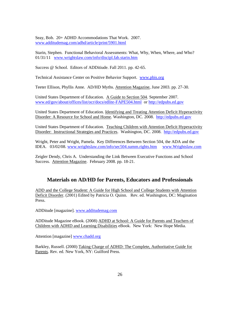Seay, Bob. 20+ ADHD Accommodations That Work. 2007. [www.additudemag.com/adhd/article/print/5901.html](http://www.additudemag.com/adhd/article/print/5901.html)

Starin, Stephen. Functional Behavioral Assessments: What, Why, When, Where, and Who? 01/31/11 [www.wrightslaw.com/info/discipl.fab.starin.htm](http://www.wrightslaw.com/info/discipl.fab.starin.htm)

Success @ School. Editors of ADDitiude. Fall 2011. pp. 42-65.

Technical Assistance Center on Positive Behavior Support. [www.pbis.org](http://www.pbis.org/)

Teeter Ellison, Phyllis Anne. AD/HD Myths. Attention Magazine, June 2003. pp. 27-30.

United States Department of Education. A Guide to Section 504. September 2007. [www.ed/gov/about/offices/list/ocr/docs/edlite-FAPE504.html](http://www.ed/gov/about/offices/list/ocr/docs/edlite-FAPE504.html) o[r http://edpubs.ed.gov](http://edpubs.ed.gov/)

United States Department of Education. Identifying and Treating Attention Deficit Hyperactivity Disorder: A Resource for School and Home. Washington, DC. 2008. [http://edpubs.ed.gov](http://edpubs.ed.gov/)

United States Department of Education. Teaching Children with Attention Deficit Hyperactivity Disorder: Instructional Strategies and Practices. Washington, DC. 2008. [http://edpubs.ed.gov](http://edpubs.ed.gov/)

Wright, Peter and Wright, Pamela. Key Differences Between Section 504, the ADA and the IDEA. 03/02/08. [www.wrightslaw.com/info/sec504.summ.rights.htm](http://www.wrightslaw.com/info/sec504.summ.rights.htm) [www.Wrightslaw.com](http://www.wrightslaw.com/)

Zeigler Dendy, Chris A. Understanding the Link Between Executive Functions and School Success. Attention Magazine. February 2008. pp. 18-21.

### **Materials on AD/HD for Parents, Educators and Professionals**

ADD and the College Student: A Guide for High School and College Students with Attention Deficit Disorder. (2001) Edited by Patricia O. Quinn. Rev. ed. Washington, DC: Magination Press.

ADDitude [magazine]. [www.additudemag.com](http://www.additudemag.com/)

ADDitude Magazine eBook. (2008) ADHD at School: A Guide for Parents and Teachers of Children with ADHD and Learning Disabilities eBook. New York: New Hope Media.

Attention [magazine] [www.chadd.org](http://www.chadd.org/)

Barkley, Russell. (2000) Taking Charge of ADHD: The Complete, Authoritative Guide for Parents. Rev. ed. New York, NY: Guilford Press.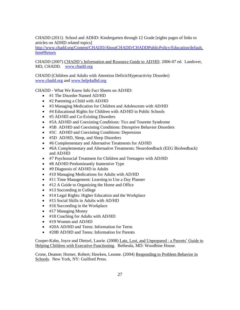CHADD (2011) School and ADHD: Kindergarten through 12 Grade [eights pages of links to articles on ADHD related topics]

[http://www.chadd.org/Content/CHADD/AboutCHADD/CHADDPublicPolicy/Education/default.](http://www.chadd.org/Content/CHADD/AboutCHADD/CHADDPublicPolicy/Education/default.htm#Return) [htm#Return](http://www.chadd.org/Content/CHADD/AboutCHADD/CHADDPublicPolicy/Education/default.htm#Return)

CHADD (2007) CHADD's Information and Resource Guide to AD/HD. 2006-07 ed. Landover, MD, CHADD. [www.chadd.org](http://www.chadd.org/)

CHADD (Children and Adults with Attention Deficit/Hyperactivity Disorder) [www.chadd.org](http://www.chadd.org/) and [www.help4adhd.org](http://www.help4adhd.org/)

CHADD - What We Know Info Fact Sheets on AD/HD:

- #1 The Disorder Named AD/HD
- #2 Parenting a Child with AD/HD
- #3 Managing Medication for Children and Adolescents with AD/HD
- #4 Educational Rights for Children with AD/HD in Public Schools
- #5 AD/HD and Co-Existing Disorders
- #5A AD/HD and Coexisting Conditions: Tics and Tourette Syndrome
- #5B AD/HD and Coexisting Conditions: Disruptive Behavior Disorders
- #5C AD/HD and Coexisting Conditions: Depression
- #5D AD/HD, Sleep, and Sleep Disorders
- #6 Complementary and Alternative Treatments for AD/HD
- #6A Complementary and Alternative Treatments: Neurofeedback (EEG Biofeedback) and AD/HD
- #7 Psychosocial Treatment for Children and Teenagers with AD/HD
- #8 AD/HD Predominantly Inattentive Type
- #9 Diagnosis of AD/HD in Adults
- $\bullet$  #10 Managing Medications for Adults with AD/HD
- #11 Time Management: Learning to Use a Day Planner
- $\bullet$  #12 A Guide to Organizing the Home and Office
- #13 Succeeding in College
- #14 Legal Rights: Higher Education and the Workplace
- #15 Social Skills in Adults with AD/HD
- #16 Succeeding in the Workplace
- #17 Managing Money
- $\bullet$  #18 Coaching for Adults with AD/HD
- #19 Women and AD/HD
- #20A AD/HD and Teens: Information for Teens
- #20B AD/HD and Teens: Information for Parents

Cooper-Kahn, Joyce and Dietzel, Laurie. (2008) Late, Lost, and Unprepared : a Parents' Guide to Helping Children with Executive Functioning. Bethesda, MD: Woodbine House.

Crone, Deanne; Horner, Robert; Hawken, Leanne. (2004) Responding to Problem Behavior in Schools. New York, NY: Guilford Press.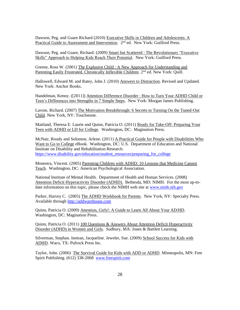Dawson, Peg. and Guare Richard (2010) Executive Skills in Children and Adolescents: A Practical Guide to Assessment and Intervention. 2nd ed. New York: Guilford Press.

Dawson, Peg. and Guare, Richard. (2009) Smart but Scattered : The Revolutionary "Executive Skills" Approach to Helping Kids Reach Their Potential. New York: Guilford Press.

Greene, Ross W. (2001) The Explosive Child : A New Approach for Understanding and Parenting Easily Frustrated, Chronically Inflexible Children. 2<sup>nd</sup> ed. New York: Quill.

Hallowell, Edward M. and Ratey, John J. (2010) Answers to Distraction. Revised and Updated. New York: Anchor Books.

Handelman, Kenny. ([2011]) Attention Difference Disorder : How to Turn Your ADHD Child or Teen's Differences into Strengths in 7 Simple Steps. New York: Morgan James Publishing.

Lavoie, Richard. (2007) The Motivation Breakthrough: 6 Secrets to Turning On the Tuned-Out Child. New York, NY: Touchstone.

Maitland, Theresa E. Laurie and Quinn, Patricia O. (2011) Ready for Take-Off: Preparing Your Teen with ADHD or LD for College. Washington, DC: Magination Press.

McNair, Roody and Solomon, Arlene. (2011) A Practical Guide for People with Disabilities Who Want to Go to College eBook. Washington, DC: U.S. Department of Education and National Institute on Disability and Rehabilitation Research. [https://www.disability.gov/education/student\\_resources/preparing\\_for\\_college](https://www.disability.gov/education/student_resources/preparing_for_college)

Monestra, Vincent. (2005) Parenting Children with ADHD: 10 Lessons that Medicine Cannot Teach. Washington, DC: American Psychological Association.

National Institute of Mental Health. Department of Health and Human Services. (2008) Attention Deficit Hyperactivity Disorder (ADHD). Bethesda, MD: NIMH. For the most up-todate information on this topic, please check the NIMH web site at [www.nimh.nih.gov](http://www.nimh.nih.gov/)

Parker, Harvey C. (2005) The ADHD Workbook for Parents. New York, NY: Specialty Press. Available through [http://addwarehouse.com](http://addwarehouse.com/)

Quinn, Patricia O. (2009) Attention, Girls!: A Guide to Learn All About Your AD/HD. Washington, DC: Magination Press.

Quinn, Patricia O. (2011) 100 Questions & Answers About Attention Deficit Hyperactivity Disorder (ADHD) in Women and Girls. Sudbury, MA: Jones & Bartlett Learning.

Silverman, Stephan. Iseman, Jacqueline. Jeweler, Sue. (2009) School Success for Kids with ADHD. Waco, TX: Pufrock Press Inc.

Taylor, John. (2006) The Survival Guide for Kids with ADD or ADHD. Minneapolis, MN: Free Spirit Publishing. (612) 338-2068 [www.freespirit.com](http://www.freespirit.com/)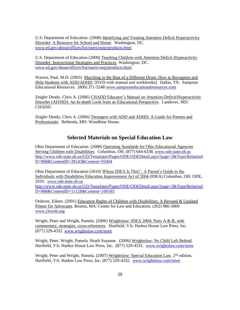U.S. Department of Education. (2008) Identifying and Treating Attention Deficit Hyperactivity Disorder: A Resource for School and Home. Washington, DC. [www.ed.gov/about/offices/list/osers/osep/products.html](http://www.ed.gov/about/offices/list/osers/osep/products.html)

U.S. Department of Education (2008) Teaching Children with Attention Deficit Hyperactivity Disorder: Instructional Strategies and Practices. Washington, DC. [www.ed.gov/about/offices/list/osers/osep/products.html](http://www.ed.gov/about/offices/list/osers/osep/products.html)

Warren, Paul, M.D. (2003) Marching to the Beat of a Different Drum: How to Recognize and Help Students with ADD/ADHD. [DVD with manual and workbooks]. Dallas, TX: Sampson Educational Resources. (800) 371-5248 [www.sampsoneducationalresources.com](http://www.sampsoneducationalresources.com/)

Zeigler Dendy, Chris A. (2006) CHADD Educator's Manual on Attention-Deficit/Hyperactivity Disorder (AD/HD): An In-depth Look from an Educational Perspective. Landover, MD: CHADD.

Zeigler Dendy, Chris A. (2006) Teenagers with ADD and ADHD: A Guide for Parents and Professionals. Bethesda, MD: Woodbine House.

### **Selected Materials on Special Education Law**

Ohio Department of Education. (2008) Operating Standards for Ohio Educational Agencies Serving Children with Disabilities. Columbus, OH. (877) 644-6338. [www.ode.state.oh.us](http://www.ode.state.oh.us/) [http://www.ode.state.oh.us/GD/Templates/Pages/ODE/ODEDetail.aspx?page=3&TopicRelationI](http://www.ode.state.oh.us/GD/Templates/Pages/ODE/ODEDetail.aspx?page=3&TopicRelationID=968&ContentID=28143&Content=93404) [D=968&ContentID=28143&Content=93404](http://www.ode.state.oh.us/GD/Templates/Pages/ODE/ODEDetail.aspx?page=3&TopicRelationID=968&ContentID=28143&Content=93404)

Ohio Department of Education (2010) Whose IDEA Is This? : A Parent's Guide to the Individuals with Disabilities Education Improvement Act of 2004 (IDEA) Columbus, OH: ODE, 2010. [www.ode.state.oh.us](http://www.ode.state.oh.us/) [http://www.ode.state.oh.us/GD/Templates/Pages/ODE/ODEDetail.aspx?page=3&TopicRelationI](http://www.ode.state.oh.us/GD/Templates/Pages/ODE/ODEDetail.aspx?page=3&TopicRelationID=968&ContentID=11128&Content=108185) [D=968&ContentID=11128&Content=108185](http://www.ode.state.oh.us/GD/Templates/Pages/ODE/ODEDetail.aspx?page=3&TopicRelationID=968&ContentID=11128&Content=108185)

Ordover, Eileen. (2001) Education Rights of Children with Disabilities: A Revised & Updated Primer for Advocates. Boston, MA: Center for Law and Education. (202) 986-3000 [www.cleweb.org](http://www.cleweb.org/)

Wright, Peter and Wright, Pamela. (2006) Wrightslaw: IDEA 2004: Parts A & B, with commentary, strategies, cross-references. Hartfield, VA: Harbor House Law Press, Inc. (877) 529-4332 [www.wrightslaw.com/store](http://www.wrightslaw.com/store)

Wright, Peter. Wright, Pamela. Heath Suzanne. (2006) Wrightslaw: No Child Left Behind. Hartfield, VA: Harbor House Law Press, Inc. (877) 529-4332. [www.wrightslaw.com/store](http://www.wrightslaw.com/store)

Wright, Peter and Wright, Pamela. (2007) Wrightslaw: Special Education Law. 2<sup>nd</sup> edition. Hartfield, VA: Harbor Law Press, Inc. (877) 529-4332. [www.wrightslaw.com/store](http://www.wrightslaw.com/store)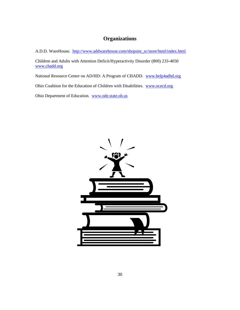## **Organizations**

A.D.D. WareHouse. [http://www.addwarehouse.com/shopsite\\_sc/store/html/index.html](http://www.addwarehouse.com/shopsite_sc/store/html/index.html)

Children and Adults with Attention Deficit/Hyperactivity Disorder (800) 233-4050 [www.chadd.org](http://www.chadd.org/)

National Resource Center on AD/HD: A Program of CHADD. [www.help4adhd.org](http://www.help4adhd.org/)

Ohio Coalition for the Education of Children with Disabilities. [www.ocecd.org](http://www.ocecd.org/)

Ohio Department of Education. [www.ode.state.oh.us](http://www.ode.state.oh.us/)

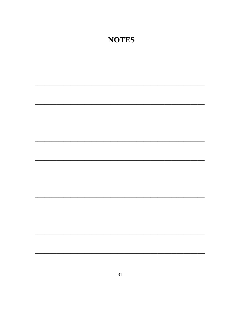# **NOTES**